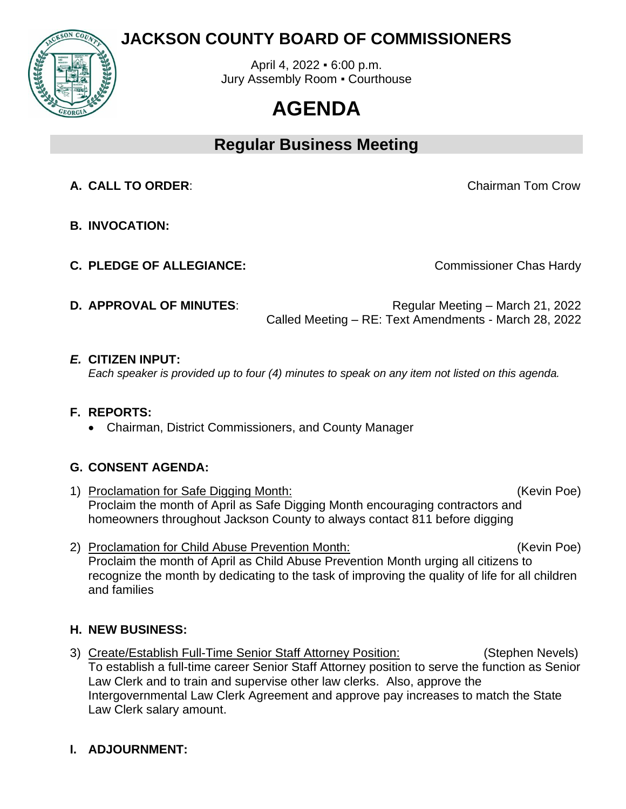

# **JACKSON COUNTY BOARD OF COMMISSIONERS**

April 4, 2022 ▪ 6:00 p.m. Jury Assembly Room . Courthouse

# **AGENDA**

**Regular Business Meeting**

**A. CALL TO ORDER**: Chairman Tom Crow

- **B. INVOCATION:**
- **C. PLEDGE OF ALLEGIANCE:** C. **PLEDGE OF ALLEGIANCE:**

**D. APPROVAL OF MINUTES:** Regular Meeting – March 21, 2022 Called Meeting – RE: Text Amendments - March 28, 2022

#### *E.* **CITIZEN INPUT:**

*Each speaker is provided up to four (4) minutes to speak on any item not listed on this agenda.* 

## **F. REPORTS:**

• Chairman, District Commissioners, and County Manager

## **G. CONSENT AGENDA:**

- 1) Proclamation for Safe Digging Month: (Kevin Poe) Proclaim the month of April as Safe Digging Month encouraging contractors and homeowners throughout Jackson County to always contact 811 before digging
- 2) Proclamation for Child Abuse Prevention Month: (Kevin Poe) Proclaim the month of April as Child Abuse Prevention Month urging all citizens to recognize the month by dedicating to the task of improving the quality of life for all children and families

## **H. NEW BUSINESS:**

3) Create/Establish Full-Time Senior Staff Attorney Position: (Stephen Nevels) To establish a full-time career Senior Staff Attorney position to serve the function as Senior Law Clerk and to train and supervise other law clerks. Also, approve the Intergovernmental Law Clerk Agreement and approve pay increases to match the State Law Clerk salary amount.

## **I. ADJOURNMENT:**